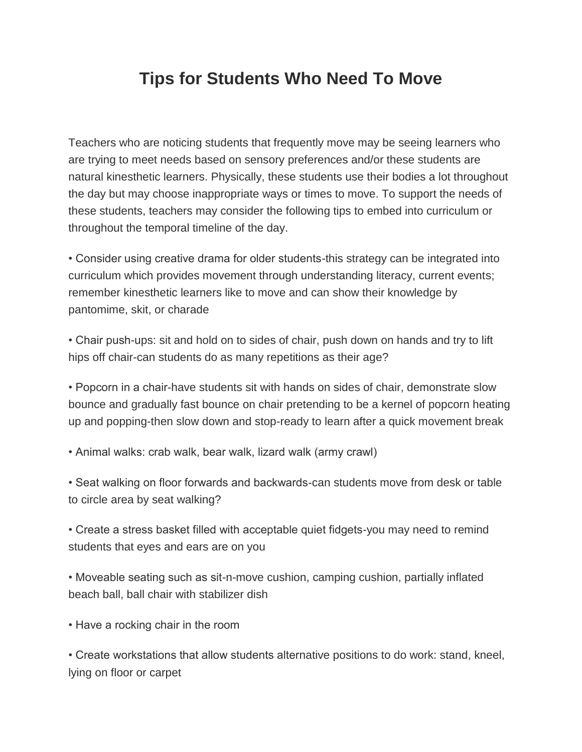## **Tips for Students Who Need To Move**

Teachers who are noticing students that frequently move may be seeing learners who are trying to meet needs based on sensory preferences and/or these students are natural kinesthetic learners. Physically, these students use their bodies a lot throughout the day but may choose inappropriate ways or times to move. To support the needs of these students, teachers may consider the following tips to embed into curriculum or throughout the temporal timeline of the day.

• Consider using creative drama for older students-this strategy can be integrated into curriculum which provides movement through understanding literacy, current events; remember kinesthetic learners like to move and can show their knowledge by pantomime, skit, or charade

• Chair push-ups: sit and hold on to sides of chair, push down on hands and try to lift hips off chair-can students do as many repetitions as their age?

• Popcorn in a chair-have students sit with hands on sides of chair, demonstrate slow bounce and gradually fast bounce on chair pretending to be a kernel of popcorn heating up and popping-then slow down and stop-ready to learn after a quick movement break

• Animal walks: crab walk, bear walk, lizard walk (army crawl)

• Seat walking on floor forwards and backwards-can students move from desk or table to circle area by seat walking?

• Create a stress basket filled with acceptable quiet fidgets-you may need to remind students that eyes and ears are on you

• Moveable seating such as sit-n-move cushion, camping cushion, partially inflated beach ball, ball chair with stabilizer dish

• Have a rocking chair in the room

• Create workstations that allow students alternative positions to do work: stand, kneel, lying on floor or carpet